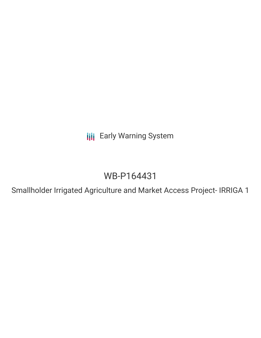**III** Early Warning System

# WB-P164431

Smallholder Irrigated Agriculture and Market Access Project- IRRIGA 1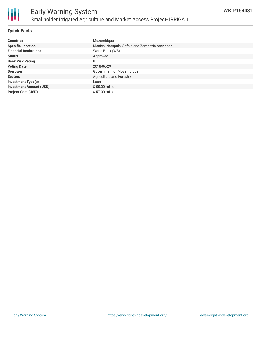

# **Quick Facts**

| <b>Countries</b>               | Mozambique                                     |
|--------------------------------|------------------------------------------------|
| <b>Specific Location</b>       | Manica, Nampula, Sofala and Zambezia provinces |
| <b>Financial Institutions</b>  | World Bank (WB)                                |
| <b>Status</b>                  | Approved                                       |
| <b>Bank Risk Rating</b>        | B                                              |
| <b>Voting Date</b>             | 2018-06-29                                     |
| <b>Borrower</b>                | Government of Mozambique                       |
| <b>Sectors</b>                 | Agriculture and Forestry                       |
| <b>Investment Type(s)</b>      | Loan                                           |
| <b>Investment Amount (USD)</b> | $$55.00$ million                               |
| <b>Project Cost (USD)</b>      | \$57.00 million                                |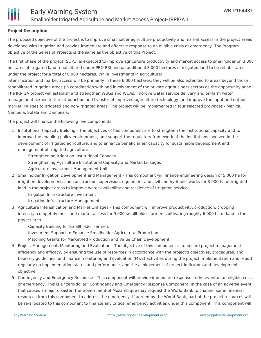# **Project Description**

The proposed objective of the project is to improve smallholder agriculture productivity and market access in the project areas developed with irrigation and provide immediate and effective response to an eligible crisis or emergency. The Program objective of the Series of Projects is the same as the objective of this Project.

The first phase of the project (SOP1) is expected to improve agriculture productivity and market access to smallholder on 3,000 hectares of irrigated land rehabilitated under PROIRRI and on additional 3,000 hectares of irrigated land to be rehabilitated under the project for a total of 6,000 hectares. While investments in agricultural

intensification and market access will be primarily in these 6,000 hectares, they will be also extended to areas beyond those rehabilitated irrigation areas (in coordination with and involvement of the private agribusiness sector) as the opportunity arise. The IRRIGA project will establish and strengthen WUGs and WUAs, improve water service delivery and on-farm water management, expedite the introduction and transfer of improved agriculture technology, and improve the input and output market linkages to irrigated and non-irrigated areas. The project will be implemented in four selected provinces - Manica, Nampula, Sofala and Zambezia.

The project will finance the following five components:

- 1. Institutional Capacity Building The objectives of this component are to strengthen the institutional capacity and to improve the enabling policy environment, and support the regulatory framework of the institutions involved in the development of irrigated agriculture, and to enhance beneficiaries' capacity for sustainable development and management of irrigated agriculture.
	- i. Strengthening Irrigation Institutional Capacity
	- ii. Strengthening Agriculture Institutional Capacity and Market Linkages
	- iii. Agriculture Investment Management Unit
- 2. Smallholder Irrigation Development and Management This component will finance engineering design of 5,000 ha for irrigation development; and construction supervision, equipment and civil and hydraulic works for 3,000 ha of irrigated land in the project areas to improve water availability and resilience of irrigation services.
	- i. Irrigation Infrastructure Investment
	- ii. Irrigation Infrastructure Management
- 3. Agriculture Intensification and Market Linkages This component will improve productivity, production, cropping intensity, competitiveness and market access for 9,000 smallholder farmers cultivating roughly 6,000 ha of land in the project area.
	- i. Capacity Building for Smallholder Farmers
	- ii. Investment Support to Enhance Smallholder Agricultural Production
	- iii. Matching Grants for Market-led Production and Value Chain Development
- 4. Project Management, Monitoring and Evaluation The objective of this component is to ensure project management efficiency and efficacy, by ensuring the use of resources in accordance with the project's objectives, procedures, and fiduciary guidelines; and finance monitoring and evaluation (M&E) activities during the project implementation and report regularly on implementation status and performance, and the achievement of project indicators and development objective.
- 5. Contingency and Emergency Response This component will provide immediate response in the event of an eligible crisis or emergency. This is a "zero-dollar" Contingency and Emergency Response Component. In the case of an adverse event that causes a major disaster, the Government of Mozambique may request the World Bank to channel some financial resources from this component to address the emergency. If agreed by the World Bank, part of the project resources will be re-allocated to this component to finance any critical emergency activities under this component. This component will

facilitate access to rapid financing by allowing reallocation of uncommitted project funds in the event of a natural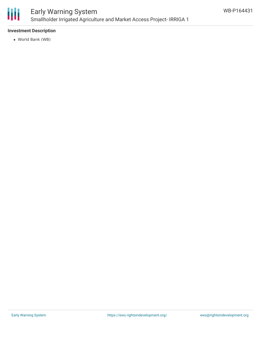

# Early Warning System Smallholder Irrigated Agriculture and Market Access Project- IRRIGA 1

## **Investment Description**

World Bank (WB)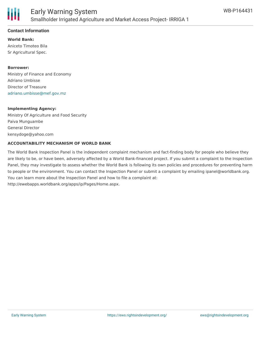

# **Contact Information**

**World Bank:** Aniceto Timoteo Bila Sr Agricultural Spec.

#### **Borrower:**

Ministry of Finance and Economy Adriano Umbisse Director of Treasure [adriano.umbisse@mef.gov.mz](mailto:adriano.umbisse@mef.gov.mz)

#### **Implementing Agency:**

Ministry Of Agriculture and Food Security Paiva Munguambe General Director kensydoge@yahoo.com

# **ACCOUNTABILITY MECHANISM OF WORLD BANK**

The World Bank Inspection Panel is the independent complaint mechanism and fact-finding body for people who believe they are likely to be, or have been, adversely affected by a World Bank-financed project. If you submit a complaint to the Inspection Panel, they may investigate to assess whether the World Bank is following its own policies and procedures for preventing harm to people or the environment. You can contact the Inspection Panel or submit a complaint by emailing ipanel@worldbank.org. You can learn more about the Inspection Panel and how to file a complaint at: http://ewebapps.worldbank.org/apps/ip/Pages/Home.aspx.